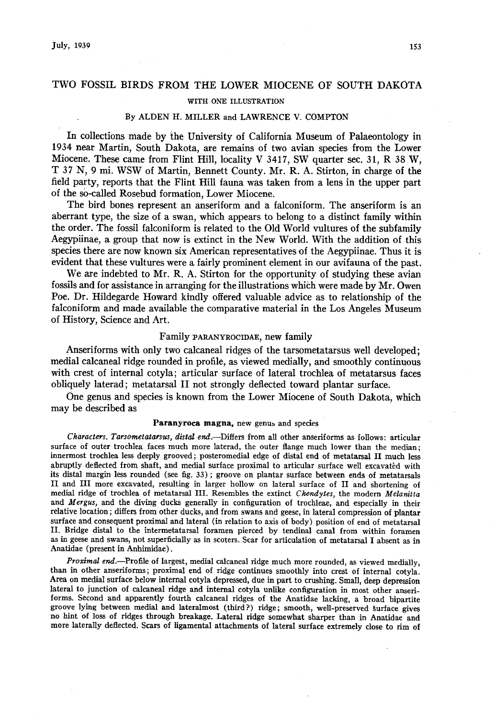## **TWO FOSSIL BIRDS FROM THE LOWER MIOCENE OF SOUTH DAKOTA**

#### **WITH ONE ILLUSTRATION**

### **By ALDEN H. MILLER and LAWRENCE V. COMPTON**

**In collections made by the University of California Museum of Palaeontology in 1934 near Martin, South Dakota, are remains of two avian species from the Lower Miocene. These came from Flint Hill, locality V 3417, SW quarter sec. 31, R 38 W, T 37 N, 9 mi. WSW of Martin, Bennett County. Mr. R. A. Stirton, in charge of the field party, reports that the Flint Hill fauna was taken from a lens in the upper part of the so-called Rosebud formation, Lower Miocene.** 

**The bird bones represent an anseriform and a falconiform. The anseriform is an aberrant type, the size of a swan, which appears to belong to a distinct family within the order. The fossil falconiform is related to the Old World vultures of the subfamily Aegypiinae, a group that now is extinct in the New World. With the addition of this species there are now known six American representatives of the Aegypiinae. Thus it is evident that these vultures were a fairly prominent element in our avifauna of the past.** 

**We are indebted to Mr. R. A. Stirton for the opportunity of studying these avian fossils and for assistance in arranging for the illustrations which were made by Mr. Owen Poe. Dr. Hildegarde Howard kindly offered valuable advice as to relationship of the falconiform and made available the comparative material in the Los Angeles Museum of History, Science and Art.** 

### **Family PARANYROCIDAE, new family**

**Anseriforms with only two calcaneal ridges of the tarsometatarsus well developed; medial calcaneal ridge rounded in profile, as viewed medially, and smoothly continuous with crest of internal cotyla; articular surface of lateral trochlea of metatarsus faces obliquely laterad; metatarsal II not strongly deflected toward plantar surface.** 

**One genus and species is known from the Lower Miocene of South Dakota, which may be described as** 

#### **Paranyroca magna, new genus and species**

**Characters. Tursometatarsw, distal end.-Differs from all other anseriforms as follows: articular surface of outer trochlea faces much more laterad, the outer flange much lower than the median; innermost trochlea less deeply grooved; posteromedial edge of distal end of metatarsal II much less abruptly deflected from shaft, and medial surface proximal to articular surface well excavated with its distal margin less rounded (see fig. 33) ; groove on plantar surface between ends of metatarsals II and III more excavated, resulting in larger hollow on lateral surface of II and shortening of medial ridge of trochlea of metatarsal III. Resembles the extinct Chendvtes. the modern Melanitta and Mergus, and the diving ducks generally in configuration of trochleae, and especially in their relative location ; differs from other ducks, and from swans and geese, in lateral compression of plantar surface and consequent proximal and lateral (in relation to axis of body) position of end of metatarsal II. Bridge distal to the intermetatarsal foramen pierced by tendinal canal from within foramen as in geese and swans, not superficially as in scoters. Scar for articulation of metatarsal I absent as in Anatidae (present in Anhimidae) .** 

Proximal end.-Profile of largest, medial calcaneal ridge much more rounded, as viewed medially, **than in other anseriforms; proximal end of ridge continues smoothly into crest of internal cotyla. Area on medial surface below internal cotyla depressed, due in part to crushing. Small, deep depression lateral to junction of calcaneal ridge and internal cotyla unlike configuration in most other anseriforms. Second and apparently fourth calcaneal ridges of the Anatidae lacking, a broad bipartite groove lying between medial and lateralmost (third?) ridge; smooth, well-preserved Surface gives no hint of loss of ridges through breakage. Lateral ridge somewhat sharper than in Anatidae and more laterally deflected. Scars of ligamental attachments of lateral surface extremely close to rim of**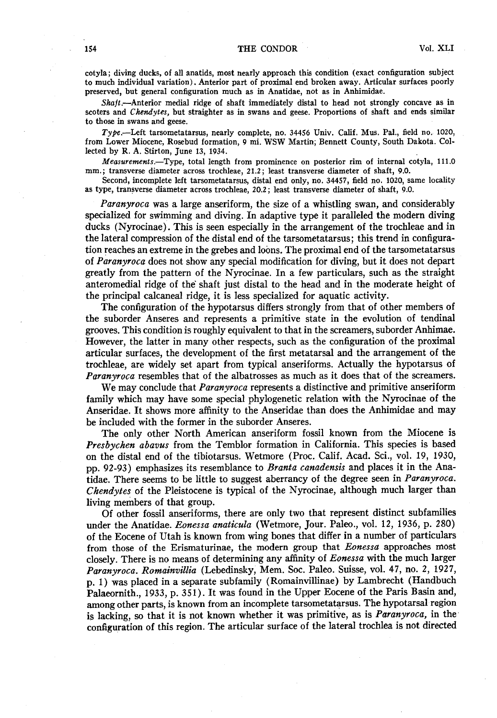**cotyla; diving ducks, of all anatids, most nearly approach this condition (exact configuration subject to much individual variation). Anterior part of proximal end broken away. Articular surfaces poorly preserved, but general configuration much as in Anatidae, not as in Anhimidae.** 

Shaft.--Anterior medial ridge of shaft immediately distal to head not strongly concave as in scoters and *Chendytes*, but straighter as in swans and geese. Proportions of shaft and ends similar **to those in swans and geese.** 

**Type.-Left tarsometatarsus, nearly complete, no. 34456 Univ. Calif. Mus. Pal., field no. 1020, from Lower Miocene, Rosebud formation, 9 mi. WSW Martin; Bennett County, South Dakota. Collected by R. A. Stirton, June 13, 1934.** 

**Measztrements.-Type, total length from prominence on posterior rim of internal cotyla, 111.0**  mm.; transverse diameter across trochleae, 21.2; least transverse diameter of shaft, 9.0.

**Second, incomplete left tarsometatarsus, distal end only, no. 34457, field no. 1020, same locality as type, transverse diameter across trochleae, 20.2 ; least transverse diameter of shaft, 9.0.** 

**Paranyroca was a large anseriform, the size of a whistling swan, and considerably specialized for swimming and diving. In adaptive type it paralleled the modern diving ducks (Nyrocinae) . This is seen especially in the arrangement af the trochleae and in the lateral compression of the distal end of the tarsometatarsus; this trend in configuration reaches an extreme in the grebes and loons. The proximal end of the tarsometatarsus of Paranyroca does not show any special modification for diving, but it does not depart greatly from the pattern of the Nyrocinae. In a few particulars, such as the straight anteromedial ridge of the shaft just distal to the head and in the moderate height of the principal calcaneal ridge, it is less specialized for aquatic activity.** 

**The configuration of the hypotarsus differs strongly from that of other members of the suborder Anseres and represents a primitive state in the evolution of tendinal grooves. This condition is roughly equivalent to that in the screamers, suborder Anhimae. However, the latter in many other respects, such as the configuration of the proximal articular surfaces, the development of the first metatarsal and the arrangement of the trochleae, are widely set apart from typical anseriforms. Actually the hypotarsus of Paranyroca resembles that of the albatrosses as much as it does that of the screamers.** 

**We may conclude that Paranyroca represents a distinctive and primitive anseriform family which may have some special phylogenetic relation with the Nyrocinae of the Anseridae. It shows more affinity to the Anseridae than does the Anhimidae and may be included with the former in the suborder Anseres.** 

**The only other North American anseriform fossil known from the Miocene is Presbychen abavus from the Temblor formation in California. This species is based on the distal end of the tibiotarsus. Wetmore (Proc. Calif. Acad. Sci., vol. 19, 1930, pp. 92-93) emphasizes its resemblance to Branta canadensis and places it in the Anatidae. There seems to be little to suggest aberrancy of the degree seen in Paranyroca. Ckendytes of the Pleistocene is typical of the Nyrocinae, although much larger than living members of that group.** 

**Of other fossil anseriforms, there are only two that represent distinct subfamilies under the Anatidae. Eonessa anaticula (Wetmore, Jour. Paleo., vol. 12, 1936, p. 280) of the Eocene of Utah is known from wing bones that differ in a number of particulars from those of the Erismaturinae, the modern group that Eonessa approaches most closely. There is no means of determining any affinity of Eonessa with the much larger**  Paranyroca. Romainvillia (Lebedinsky, Mem. Soc. Paleo. Suisse, vol. 47, no. 2, 1927, **p. 1) was placed in a separate subfamily (Romainvillinae) by Lambrecht (Handbuch Palaeornith., 1933, p. 351). It was found in the Upper Eocene of the Paris Basin and, among other parts, is known from an incomplete tarsometatarsus. The hypotarsal region**  is lacking, so that it is not known whether it was primitive, as is *Paranyroca*, in the **configuration of this region. The articular surface of the lateral trochlea is not directed**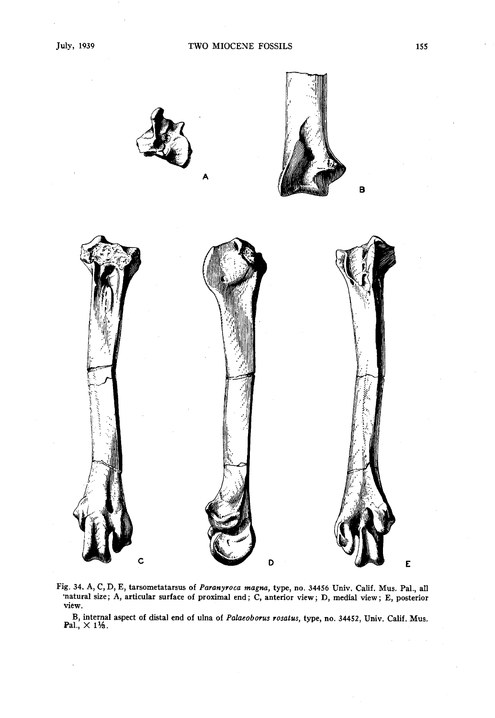

**Fig. 34. A, C, D, E, tarsometatarsus of Paranyroca magna, type, no. 34456 Univ. Calif. Mus. Pal., all 'natural size; A, articular surface of proximal end; C, anterior view; D, medial view; E, posterior view.** 

**B, internal aspect of distal end of ulna of Palaeoborus rosaks, type, no. 34452, Univ. Calif. Mus. Pal.,**  $\times$  **1%.**